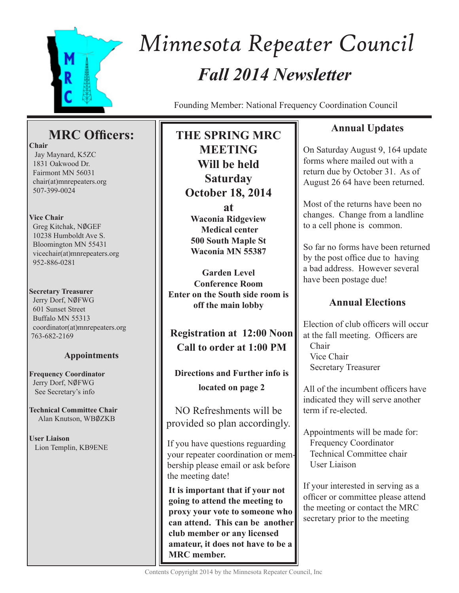

# *Fall 2014 Newsletter Minnesota Repeater Council*

Founding Member: National Frequency Coordination Council

# **MRC Officers:**

**Chair**

 Jay Maynard, K5ZC 1831 Oakwood Dr. Fairmont MN 56031 chair(at)mnrepeaters.org 507-399-0024

## **Vice Chair**

Greg Kitchak, NØGEF 10238 Humboldt Ave S. Bloomington MN 55431 vicechair(at)mnrepeaters.org 952-886-0281

## **Secretary Treasurer**

Jerry Dorf, NØFWG 601 Sunset Street Buffalo MN 55313 coordinator(at)mnrepeaters.org 763-682-2169

# **Appointments**

**Frequency Coordinator** Jerry Dorf, NØFWG See Secretary's info

**Technical Committee Chair** Alan Knutson, WB0ZKB

**User Liaison** Lion Templin, KB9ENE **THE SPRING MRC MEETING Will be held Saturday October 18, 2014 at Waconia Ridgeview Medical center**

**500 South Maple St Waconia MN 55387**

**Garden Level Conference Room Enter on the South side room is off the main lobby**

**Registration at 12:00 Noon Call to order at 1:00 PM** 

# **Directions and Further info is located on page 2**

NO Refreshments will be provided so plan accordingly.

If you have questions reguarding your repeater coordination or membership please email or ask before the meeting date!

**It is important that if your not going to attend the meeting to proxy your vote to someone who can attend. This can be another club member or any licensed amateur, it does not have to be a MRC member.**

# **Annual Updates**

On Saturday August 9, 164 update forms where mailed out with a return due by October 31. As of August 26 64 have been returned.

Most of the returns have been no changes. Change from a landline to a cell phone is common.

So far no forms have been returned by the post office due to having a bad address. However several have been postage due!

# **Annual Elections**

Election of club officers will occur at the fall meeting. Officers are Chair Vice Chair Secretary Treasurer

All of the incumbent officers have indicated they will serve another term if re-elected.

Appointments will be made for: Frequency Coordinator Technical Committee chair User Liaison

If your interested in serving as a officer or committee please attend the meeting or contact the MRC secretary prior to the meeting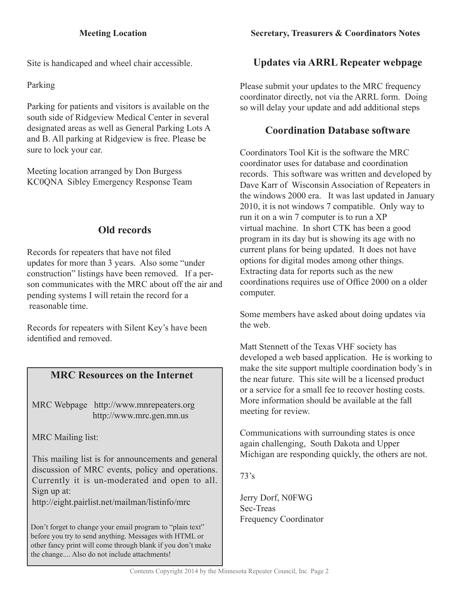Site is handicaped and wheel chair accessible.

# Parking

Parking for patients and visitors is available on the south side of Ridgeview Medical Center in several designated areas as well as General Parking Lots A and B. All parking at Ridgeview is free. Please be sure to lock your car.

Meeting location arranged by Don Burgess KC0QNA Sibley Emergency Response Team

# **Old records**

Records for repeaters that have not filed updates for more than 3 years. Also some "under construction" listings have been removed. If a person communicates with the MRC about off the air and pending systems I will retain the record for a reasonable time.

Records for repeaters with Silent Key's have been identified and removed.

# **MRC Resources on the Internet**

MRC Webpage http://www.mnrepeaters.org http://www.mrc.gen.mn.us

MRC Mailing list:

This mailing list is for announcements and general discussion of MRC events, policy and operations. Currently it is un-moderated and open to all. Sign up at:

http://eight.pairlist.net/mailman/listinfo/mrc

Don't forget to change your email program to "plain text" before you try to send anything. Messages with HTML or other fancy print will come through blank if you don't make the change.... Also do not include attachments!

# **Updates via ARRL Repeater webpage**

Please submit your updates to the MRC frequency coordinator directly, not via the ARRL form. Doing so will delay your update and add additional steps

# **Coordination Database software**

Coordinators Tool Kit is the software the MRC coordinator uses for database and coordination records. This software was written and developed by Dave Karr of Wisconsin Association of Repeaters in the windows 2000 era. It was last updated in January 2010, it is not windows 7 compatible. Only way to run it on a win 7 computer is to run a XP virtual machine. In short CTK has been a good program in its day but is showing its age with no current plans for being updated. It does not have options for digital modes among other things. Extracting data for reports such as the new coordinations requires use of Office 2000 on a older computer.

Some members have asked about doing updates via the web.

Matt Stennett of the Texas VHF society has developed a web based application. He is working to make the site support multiple coordination body's in the near future. This site will be a licensed product or a service for a small fee to recover hosting costs. More information should be available at the fall meeting for review.

Communications with surrounding states is once again challenging, South Dakota and Upper Michigan are responding quickly, the others are not.

73's

Jerry Dorf, N0FWG Sec-Treas Frequency Coordinator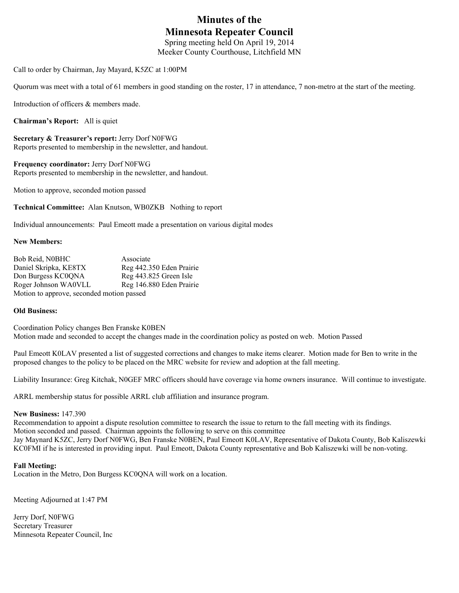# **Minutes of the Minnesota Repeater Council**

Spring meeting held On April 19, 2014 Meeker County Courthouse, Litchfield MN

Call to order by Chairman, Jay Mayard, K5ZC at 1:00PM

Quorum was meet with a total of 61 members in good standing on the roster, 17 in attendance, 7 non-metro at the start of the meeting.

Introduction of officers & members made.

**Chairman's Report:** All is quiet

**Secretary & Treasurer's report:** Jerry Dorf N0FWG Reports presented to membership in the newsletter, and handout.

**Frequency coordinator:** Jerry Dorf N0FWG Reports presented to membership in the newsletter, and handout.

Motion to approve, seconded motion passed

**Technical Committee:** Alan Knutson, WB0ZKB Nothing to report

Individual announcements: Paul Emeott made a presentation on various digital modes

#### **New Members:**

| Bob Reid, N0BHC                           | Associate                |
|-------------------------------------------|--------------------------|
| Daniel Skripka, KE8TX                     | Reg 442.350 Eden Prairie |
| Don Burgess KC0QNA                        | Reg 443.825 Green Isle   |
| Roger Johnson WA0VLL                      | Reg 146.880 Eden Prairie |
| Motion to approve, seconded motion passed |                          |

#### **Old Business:**

Coordination Policy changes Ben Franske K0BEN Motion made and seconded to accept the changes made in the coordination policy as posted on web. Motion Passed

Paul Emeott K0LAV presented a list of suggested corrections and changes to make items clearer. Motion made for Ben to write in the proposed changes to the policy to be placed on the MRC website for review and adoption at the fall meeting.

Liability Insurance: Greg Kitchak, N0GEF MRC officers should have coverage via home owners insurance. Will continue to investigate.

ARRL membership status for possible ARRL club affiliation and insurance program.

#### **New Business:** 147.390

Recommendation to appoint a dispute resolution committee to research the issue to return to the fall meeting with its findings. Motion seconded and passed. Chairman appoints the following to serve on this committee Jay Maynard K5ZC, Jerry Dorf N0FWG, Ben Franske N0BEN, Paul Emeott K0LAV, Representative of Dakota County, Bob Kaliszewki KC0FMI if he is interested in providing input. Paul Emeott, Dakota County representative and Bob Kaliszewki will be non-voting.

#### **Fall Meeting:**

Location in the Metro, Don Burgess KC0QNA will work on a location.

Meeting Adjourned at 1:47 PM

Jerry Dorf, N0FWG Secretary Treasurer Minnesota Repeater Council, Inc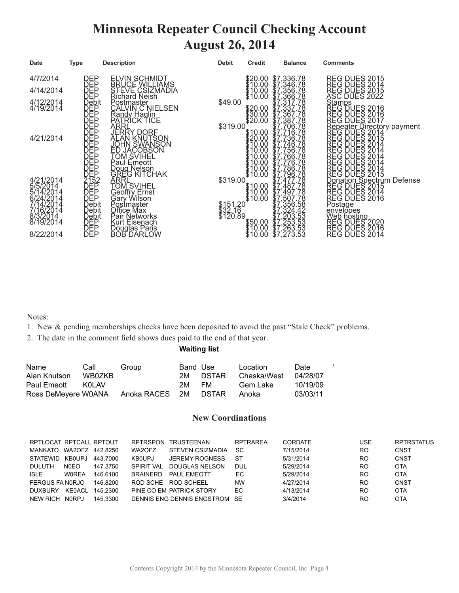# **Minnesota Repeater Council Checking Account August 26, 2014**

| <b>Date</b>                                                                         | Type                                | <b>Description</b>                                                                                                                                                                                                                                                                   | <b>Debit</b>                    | <b>Credit</b> | <b>Balance</b> | <b>Comments</b>                                                                                                                                                                                                                                                             |
|-------------------------------------------------------------------------------------|-------------------------------------|--------------------------------------------------------------------------------------------------------------------------------------------------------------------------------------------------------------------------------------------------------------------------------------|---------------------------------|---------------|----------------|-----------------------------------------------------------------------------------------------------------------------------------------------------------------------------------------------------------------------------------------------------------------------------|
| 4/7/2014                                                                            |                                     |                                                                                                                                                                                                                                                                                      |                                 |               |                |                                                                                                                                                                                                                                                                             |
| 4/14/2014                                                                           |                                     | ELVIN SCHMIDT<br>BRUCE WILLIAMS<br>STEVE CSIZMADIA<br>Richard Neish                                                                                                                                                                                                                  |                                 |               |                |                                                                                                                                                                                                                                                                             |
| 4/12/2014<br>4/19/2014                                                              |                                     | Postmaster<br>CALVIN C NIELSEN                                                                                                                                                                                                                                                       | \$49.00                         |               |                |                                                                                                                                                                                                                                                                             |
|                                                                                     |                                     |                                                                                                                                                                                                                                                                                      |                                 |               |                |                                                                                                                                                                                                                                                                             |
| 4/21/2014                                                                           |                                     |                                                                                                                                                                                                                                                                                      | \$319.00                        |               |                |                                                                                                                                                                                                                                                                             |
| 4/21/2014<br>47/2014<br>5/5/2014<br>5/14/2014<br>6/24/2014<br>7/16/2014<br>8/3/2014 |                                     | CALVIN C NIELSE<br>Randy Haglin<br>ARRL<br>JERRY DORF<br>ALAN KNUTSON<br>JOHN SVIHEL<br>JOHN SVIHEL<br>TOM SVIHEL<br>Paul Emeott<br>DREG KITCHAK<br>CREG KITCHAK<br>ARRL<br>TOM SVIHEL<br>Geoffry Ernst<br>Geoffry Ernst<br>Geoffry Ernst<br>Geoffry Ernst<br>Geoffry Ernst<br>Geoff | \$319.00                        |               |                | REG DUES 2015<br>REG DUES 2014<br>REG DUES 2015<br>ASC DUES 2015<br>ASC DUES 2016<br>REG DUES 2016<br>REG DUES 2016<br>REG DUES 2017<br>REG DUES 2014<br>REG DUES 2014<br>REG DUES 2014<br>REG DUES 2014<br>REG DUES 2014<br>REG DUES 2014<br>REG DUES 2014<br>REG DUES 201 |
|                                                                                     | Debit<br>Debit<br>DEP<br>DEP<br>DEP | Postmaster<br>Office Max<br>Pair Networks                                                                                                                                                                                                                                            | \$151.20<br>\$32.16<br>\$120.89 |               |                | Postage<br>envelopes<br>web hosting<br>REG DUES 2020<br>REG DUES 2016<br>REG DUES 2014                                                                                                                                                                                      |
| 8/22/2014                                                                           |                                     | Kurt Eisenach<br>Douglas Paris<br>BOB DARLOW                                                                                                                                                                                                                                         |                                 |               |                |                                                                                                                                                                                                                                                                             |

Notes:

- 1. New & pending memberships checks have been deposited to avoid the past "Stale Check" problems.
- 2. The date in the comment field shows dues paid to the end of that year.

#### **Waiting list**

| Name                | Call   | Group                | Band Use |       | Location    | Date.    |  |
|---------------------|--------|----------------------|----------|-------|-------------|----------|--|
| Alan Knutson        | WB0ZKB |                      | 2M -     | DSTAR | Chaska/West | 04/28/07 |  |
| Paul Emeott         | KOL AV |                      | 2M -     | FM.   | Gem Lake    | 10/19/09 |  |
| Ross DeMeyere W0ANA |        | Anoka RACES 2M DSTAR |          |       | Anoka       | 03/03/11 |  |

#### **New Coordinations**

| RPTLOCAT RPTCALL RPTOUT |                    |          | <b>RPTRSPON</b>   | TRUSTEENAN                 | <b>RPTRAREA</b> | CORDATE   | USE            | <b>RPTRSTATUS</b> |
|-------------------------|--------------------|----------|-------------------|----------------------------|-----------------|-----------|----------------|-------------------|
| MANKATO                 | WA2OFZ 442,8250    |          | WA2OFZ            | STEVEN CSIZMADIA           | <b>SC</b>       | 7/15/2014 | R <sub>O</sub> | CNST              |
| <b>STATEWID</b>         | KB0UPJ             | 443 7000 | <b>KB0UPJ</b>     | <b>JEREMY ROGNESS</b>      | -ST             | 5/31/2014 | RO.            | CNST              |
| DULUTH                  | N <sub>0</sub> EO  | 147.3750 | <b>SPIRIT VAL</b> | DOUGLAS NELSON             | DUL             | 5/29/2014 | <b>RO</b>      | <b>OTA</b>        |
| <b>ISLE</b>             | <b>WOREA</b>       | 146.6100 | <b>BRAINERD</b>   | PAUL EMEOTT                | EC.             | 5/29/2014 | <b>RO</b>      | <b>OTA</b>        |
| FERGUS FA NORJO         |                    | 146.8200 | ROD SCHE          | ROD SCHEEL                 | <b>NW</b>       | 4/27/2014 | R <sub>O</sub> | CNST              |
| <b>DUXBURY</b>          | KE0ACL             | 145 2300 |                   | PINE CO EM PATRICK STORY   | EC              | 4/13/2014 | <b>RO</b>      | <b>OTA</b>        |
| <b>NEW RICH</b>         | N <sub>0</sub> RPJ | 145 3300 |                   | DENNIS ENG DENNIS ENGSTROM | <b>SF</b>       | 3/4/2014  | <b>RO</b>      | <b>OTA</b>        |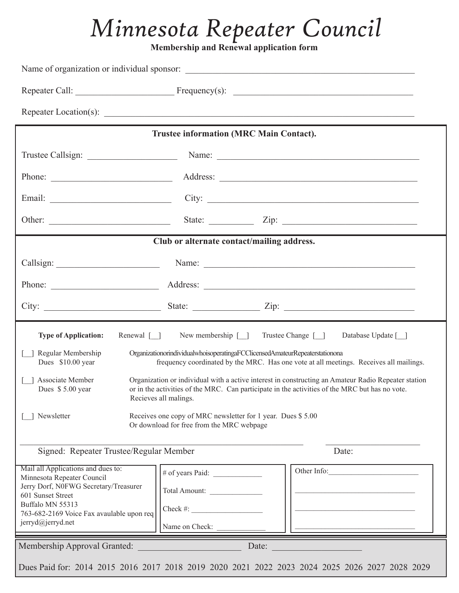# *Minnesota Repeater Council*

**Membership and Renewal application form** 

|                                                                                                                                                                                                                      | <b>Trustee information (MRC Main Contact).</b>                                                                                                                                                                                                                        |                                                                                                                                                                                                                                                                                                                                 |
|----------------------------------------------------------------------------------------------------------------------------------------------------------------------------------------------------------------------|-----------------------------------------------------------------------------------------------------------------------------------------------------------------------------------------------------------------------------------------------------------------------|---------------------------------------------------------------------------------------------------------------------------------------------------------------------------------------------------------------------------------------------------------------------------------------------------------------------------------|
|                                                                                                                                                                                                                      |                                                                                                                                                                                                                                                                       |                                                                                                                                                                                                                                                                                                                                 |
|                                                                                                                                                                                                                      |                                                                                                                                                                                                                                                                       |                                                                                                                                                                                                                                                                                                                                 |
|                                                                                                                                                                                                                      |                                                                                                                                                                                                                                                                       |                                                                                                                                                                                                                                                                                                                                 |
|                                                                                                                                                                                                                      |                                                                                                                                                                                                                                                                       | State: $\angle$ Zip: $\angle$                                                                                                                                                                                                                                                                                                   |
|                                                                                                                                                                                                                      | Club or alternate contact/mailing address.                                                                                                                                                                                                                            |                                                                                                                                                                                                                                                                                                                                 |
|                                                                                                                                                                                                                      |                                                                                                                                                                                                                                                                       | Callsign: Name: Name: Name: Name: Name: Name: Name: Name: Name: Name: Name: Name: Name: Name: Name: Name: Name: Name: Name: Name: Name: Name: Name: Name: Name: Name: Name: Name: Name: Name: Name: Name: Name: Name: Name: Na                                                                                                  |
|                                                                                                                                                                                                                      |                                                                                                                                                                                                                                                                       | Phone: <u>Address:</u> Address: <u>Address:</u> Address: Address: Address: Address: Address: Address: Address: Address: Address: Address: Address: Address: Address: Address: Address: Address: Address: Address: Address: Address: Addr                                                                                        |
|                                                                                                                                                                                                                      |                                                                                                                                                                                                                                                                       |                                                                                                                                                                                                                                                                                                                                 |
|                                                                                                                                                                                                                      |                                                                                                                                                                                                                                                                       |                                                                                                                                                                                                                                                                                                                                 |
| <b>Type of Application:</b><br>Regular Membership<br>Dues \$10.00 year<br>Associate Member<br>Dues \$5.00 year<br>Newsletter<br>Signed: Repeater Trustee/Regular Member                                              | Renewal [ ] New membership [ ] Trustee Change [ ]<br>OrganizationorindividualwhoisoperatingaFCClicensedAmateurRepeaterstationona<br>Recieves all malings.<br>Receives one copy of MRC newsletter for 1 year. Dues \$5.00<br>Or download for free from the MRC webpage | Database Update [ ]<br>frequency coordinated by the MRC. Has one vote at all meetings. Receives all mailings.<br>Organization or individual with a active interest in constructing an Amateur Radio Repeater station<br>or in the activities of the MRC. Can participate in the activities of the MRC but has no vote.<br>Date: |
| Mail all Applications and dues to:<br>Minnesota Repeater Council<br>Jerry Dorf, N0FWG Secretary/Treasurer<br>601 Sunset Street<br>Buffalo MN 55313<br>763-682-2169 Voice Fax avaulable upon req<br>jerryd@jerryd.net | Total Amount:<br>$Check \#:$<br>Name on Check:                                                                                                                                                                                                                        | Other Info:                                                                                                                                                                                                                                                                                                                     |